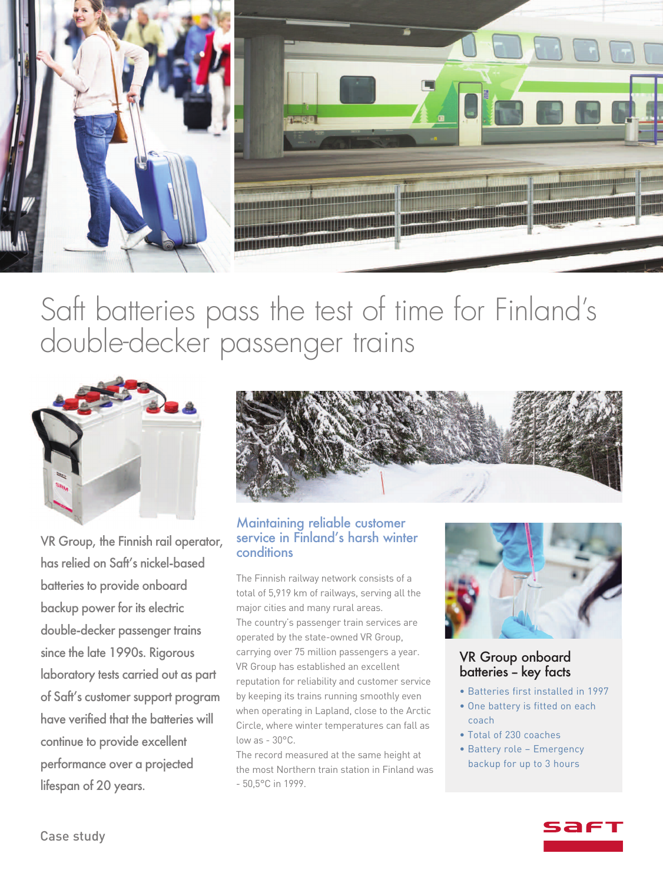

# Saft batteries pass the test of time for Finland' s double-decker passenger trains



VR Group, the Finnish rail operator, has relied on Saft's nickel-based batteries to provide onboard backup power for its electric double-decker passenger trains since the late 1990s. Rigorous laboratory tests carried out as part of Saft's customer support program have verified that the batteries will continue to provide excellent performance over a projected lifespan of 20 years.



#### Maintaining reliable customer service in Finland's harsh winter conditions

The Finnish railway network consists of a total of 5,919 km of railways, serving all the major cities and many rural areas. The country's passenger train services are operated by the state-owned VR Group, carrying over 75 million passengers a year. VR Group has established an excellent reputation for reliability and customer service by keeping its trains running smoothly even when operating in Lapland, close to the Arctic Circle, where winter temperatures can fall as low as - 30°C.

The record measured at the same height at the most Northern train station in Finland was - 50,5°C in 1999.



#### VR Group onboard batteries – key facts

- Batteries first installed in 1997
- One battery is fitted on each coach
- Total of 230 coaches
- Battery role Emergency backup for up to 3 hours